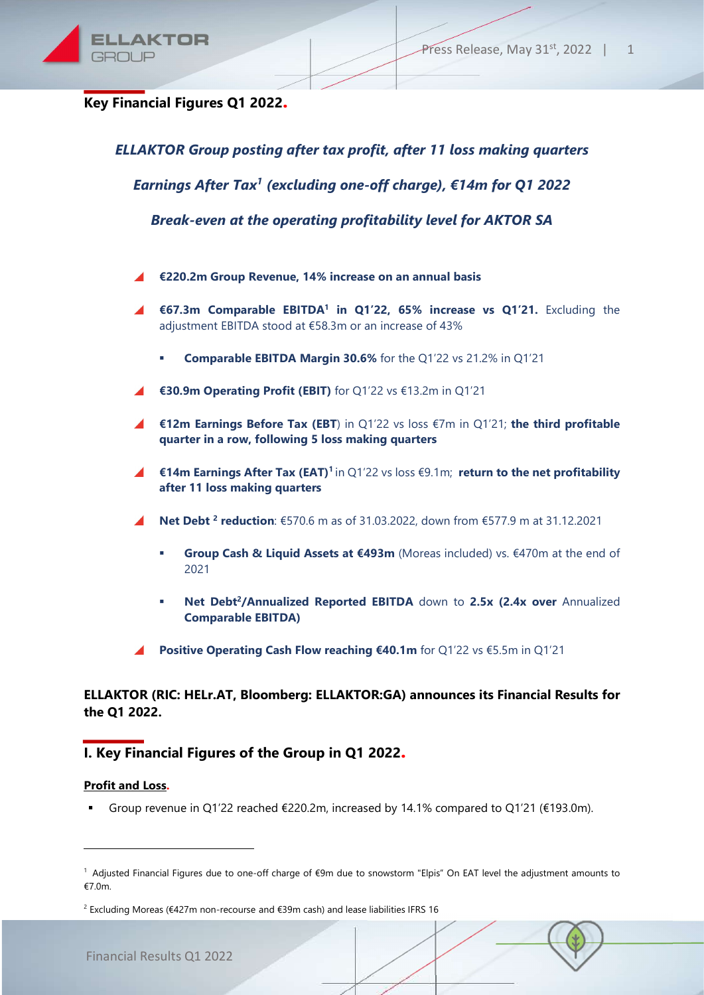

Key Financial Figures Q1 2022.

ELLAKTOR Group posting after tax profit, after 11 loss making quarters

Earnings After Tax<sup>1</sup> (excluding one-off charge), €14m for Q1 2022

Break-even at the operating profitability level for AKTOR SA

- €220.2m Group Revenue, 14% increase on an annual basis
- €67.3m Comparable EBITDA<sup>1</sup> in Q1'22, 65% increase vs Q1'21. Excluding the adjustment EBITDA stood at €58.3m or an increase of 43%
	- Comparable EBITDA Margin 30.6% for the Q1'22 vs 21.2% in Q1'21
- €30.9m Operating Profit (EBIT) for Q1'22 vs €13.2m in Q1'21
- $\blacktriangle$  €12m Earnings Before Tax (EBT) in Q1'22 vs loss  $€7m$  in Q1'21; the third profitable quarter in a row, following 5 loss making quarters
- $\blacktriangle$  €14m Earnings After Tax (EAT)<sup>1</sup> in Q1'22 vs loss  $€9.1$ m; return to the net profitability after 11 loss making quarters
- Net Debt<sup>2</sup> reduction: €570.6 m as of 31.03.2022, down from €577.9 m at 31.12.2021
	- Group Cash & Liquid Assets at €493m (Moreas included) vs. €470m at the end of 2021
	- Net Debt<sup>2</sup>/Annualized Reported EBITDA down to 2.5x (2.4x over Annualized Comparable EBITDA)
- Positive Operating Cash Flow reaching €40.1m for Q1'22 vs €5.5m in Q1'21

## ELLAKTOR (RIC: HELr.AT, Bloomberg: ELLAKTOR:GA) announces its Financial Results for the Q1 2022.

# Ι. Key Financial Figures of the Group in Q1 2022.

#### Profit and Loss.

-

Group revenue in Q1'22 reached  $\epsilon$ 220.2m, increased by 14.1% compared to Q1'21 ( $\epsilon$ 193.0m).

<sup>1</sup>Adjusted Financial Figures due to one-off charge of €9m due to snowstorm "Elpis" On EAT level the adjustment amounts to €7.0m.

<sup>&</sup>lt;sup>2</sup> Excluding Moreas (€427m non-recourse and €39m cash) and lease liabilities IFRS 16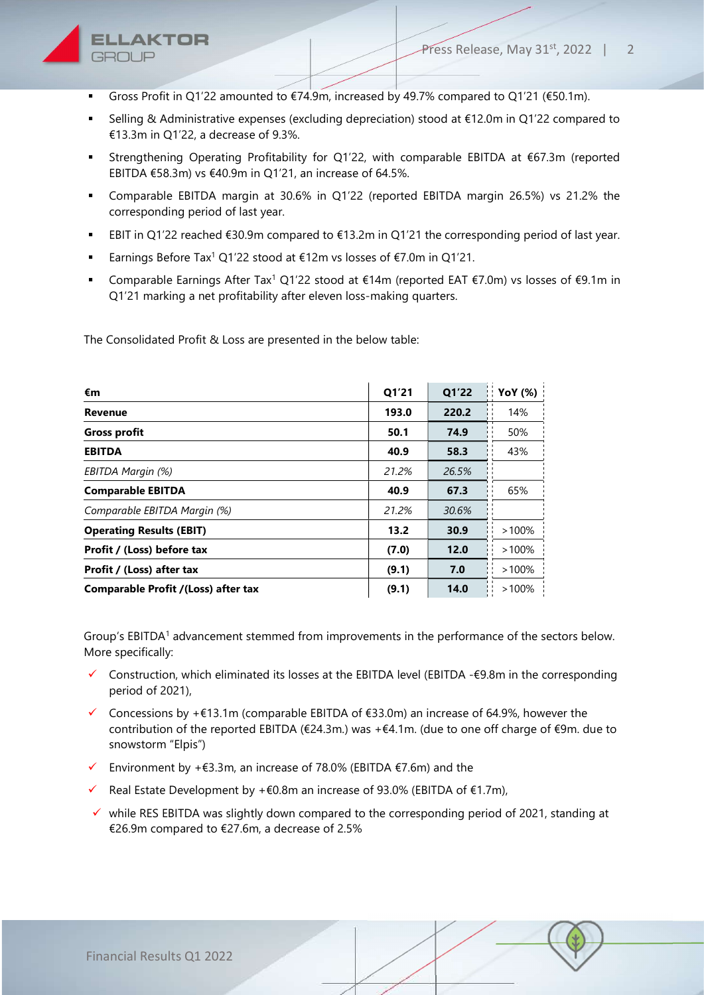

- Gross Profit in Q1'22 amounted to  $\epsilon$ 74.9m, increased by 49.7% compared to Q1'21 ( $\epsilon$ 50.1m).
- Selling & Administrative expenses (excluding depreciation) stood at €12.0m in Q1'22 compared to €13.3m in Q1'22, a decrease of 9.3%.
- Strengthening Operating Profitability for Q1'22, with comparable EBITDA at €67.3m (reported EBITDA €58.3m) vs €40.9m in Q1'21, an increase of 64.5%.
- Comparable EBITDA margin at 30.6% in Q1'22 (reported EBITDA margin 26.5%) vs 21.2% the corresponding period of last year.
- EBIT in Q1'22 reached €30.9m compared to €13.2m in Q1'21 the corresponding period of last year.
- Earnings Before Tax<sup>1</sup> Q1'22 stood at €12m vs losses of €7.0m in Q1'21.
- Comparable Earnings After Tax<sup>1</sup> Q1'22 stood at €14m (reported EAT €7.0m) vs losses of €9.1m in Q1'21 marking a net profitability after eleven loss-making quarters.

The Consolidated Profit & Loss are presented in the below table:

| €m                                         | Q1'21 | Q1'22 | <b>YoY</b> (%) |
|--------------------------------------------|-------|-------|----------------|
| <b>Revenue</b>                             | 193.0 | 220.2 | 14%            |
| <b>Gross profit</b>                        | 50.1  | 74.9  | 50%            |
| <b>EBITDA</b>                              | 40.9  | 58.3  | 43%            |
| EBITDA Margin (%)                          | 21.2% | 26.5% |                |
| <b>Comparable EBITDA</b>                   | 40.9  | 67.3  | 65%            |
| Comparable EBITDA Margin (%)               | 21.2% | 30.6% |                |
| <b>Operating Results (EBIT)</b>            | 13.2  | 30.9  | >100%          |
| Profit / (Loss) before tax                 | (7.0) | 12.0  | $>100\%$       |
| Profit / (Loss) after tax                  | (9.1) | 7.0   | $>100\%$       |
| <b>Comparable Profit /(Loss) after tax</b> | (9.1) | 14.0  | $>100\%$       |

Group's EBITDA<sup>1</sup> advancement stemmed from improvements in the performance of the sectors below. More specifically:

- $\checkmark$  Construction, which eliminated its losses at the EBITDA level (EBITDA - $\epsilon$ 9.8m in the corresponding period of 2021),
- $\checkmark$  Concessions by +€13.1m (comparable EBITDA of €33.0m) an increase of 64.9%, however the contribution of the reported EBITDA (€24.3m.) was +€4.1m. (due to one off charge of €9m. due to snowstorm "Elpis")
- Environment by + $\epsilon$ 3.3m, an increase of 78.0% (EBITDA  $\epsilon$ 7.6m) and the
- Real Estate Development by +€0.8m an increase of 93.0% (EBITDA of €1.7m),
- $\checkmark$  while RES EBITDA was slightly down compared to the corresponding period of 2021, standing at €26.9m compared to €27.6m, a decrease of 2.5%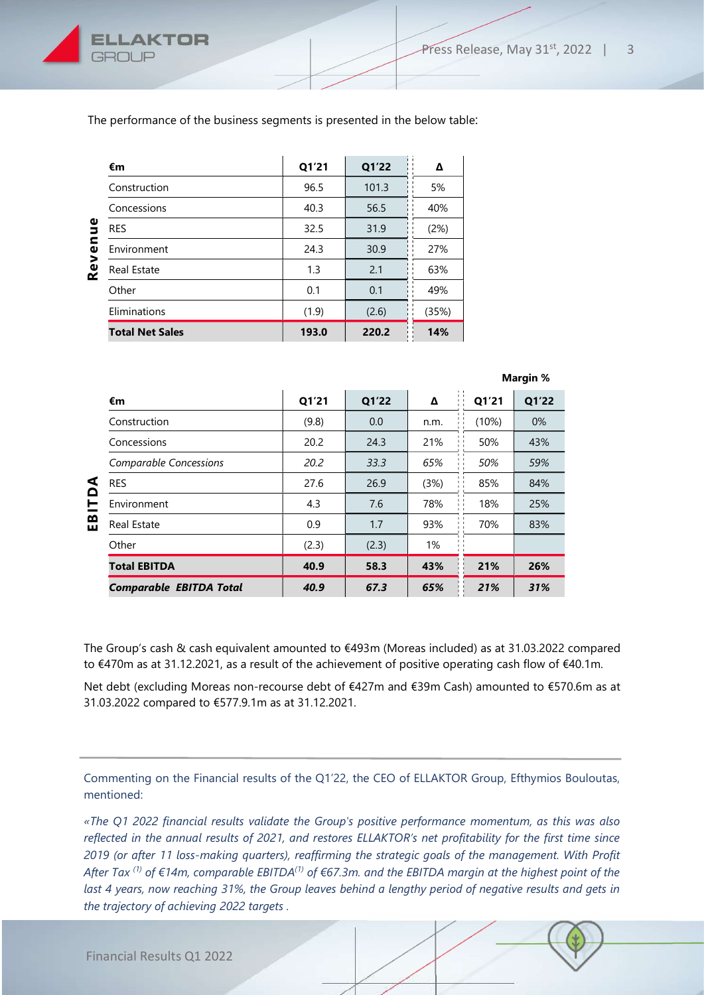

The performance of the business segments is presented in the below table:

| Φ<br>Б<br>$\mathbf{v}$<br>Rev | €m                     | Q1'21 | Q1'22 | Δ                         |  |
|-------------------------------|------------------------|-------|-------|---------------------------|--|
|                               | Construction           | 96.5  | 101.3 | 5%                        |  |
|                               | Concessions            | 40.3  | 56.5  | 40%<br>(2%)<br>27%<br>63% |  |
|                               | <b>RES</b>             | 32.5  | 31.9  |                           |  |
|                               | Environment            | 24.3  | 30.9  |                           |  |
|                               | <b>Real Estate</b>     | 1.3   | 2.1   |                           |  |
|                               | Other                  | 0.1   | 0.1   | 49%                       |  |
|                               | Eliminations           | (1.9) | (2.6) | (35%)                     |  |
|                               | <b>Total Net Sales</b> | 193.0 | 220.2 | 14%                       |  |

|                   |                                |       |       |                                      | Margin %                            |       |  |  |
|-------------------|--------------------------------|-------|-------|--------------------------------------|-------------------------------------|-------|--|--|
|                   | €m                             | Q1'21 | Q1'22 | Δ<br>$1 - 1$                         | $\mathbf{L}$<br>Q1'21               | Q1'22 |  |  |
| ⋖<br>≏<br>┕<br>EB | Construction                   | (9.8) | 0.0   | n.m.                                 | $\mathbf{I}$<br>(10%)               | $0\%$ |  |  |
|                   | Concessions                    | 20.2  | 24.3  | 21%                                  | 50%                                 | 43%   |  |  |
|                   | <b>Comparable Concessions</b>  | 20.2  | 33.3  | Ħ<br>65%                             | $\mathbf{1}$<br>50%<br>$\mathbf{I}$ | 59%   |  |  |
|                   | <b>RES</b>                     | 27.6  | 26.9  | (3%)<br>$\mathbf{I}$<br>$\mathbf{1}$ | . .<br>85%                          | 84%   |  |  |
|                   | Environment                    | 4.3   | 7.6   | 78%<br>$\mathbf{1}$ . $\mathbf{1}$   | 18%<br>$\mathbf{I}$                 | 25%   |  |  |
|                   | <b>Real Estate</b>             | 0.9   | 1.7   | 93%<br>$1 - 1$                       | 70%                                 | 83%   |  |  |
|                   | Other                          | (2.3) | (2.3) | 1%                                   |                                     |       |  |  |
|                   | <b>Total EBITDA</b>            | 40.9  | 58.3  | 43%                                  | 21%                                 | 26%   |  |  |
|                   | <b>Comparable EBITDA Total</b> | 40.9  | 67.3  | 65%                                  | 21%                                 | 31%   |  |  |

The Group's cash & cash equivalent amounted to €493m (Moreas included) as at 31.03.2022 compared to €470m as at 31.12.2021, as a result of the achievement of positive operating cash flow of €40.1m.

Net debt (excluding Moreas non-recourse debt of €427m and €39m Cash) amounted to €570.6m as at 31.03.2022 compared to €577.9.1m as at 31.12.2021.

Commenting on the Financial results of the Q1'22, the CEO of ELLAKTOR Group, Efthymios Bouloutas, mentioned:

«The Q1 2022 financial results validate the Group's positive performance momentum, as this was also reflected in the annual results of 2021, and restores ELLAKTOR's net profitability for the first time since 2019 (or after 11 loss-making quarters), reaffirming the strategic goals of the management. With Profit After Tax<sup>(1)</sup> of  $\in$ 14m, comparable EBITDA<sup>(1)</sup> of  $\in$ 67.3m. and the EBITDA margin at the highest point of the last 4 years, now reaching 31%, the Group leaves behind a lengthy period of negative results and gets in the trajectory of achieving 2022 targets .

Financial Results Q1 2022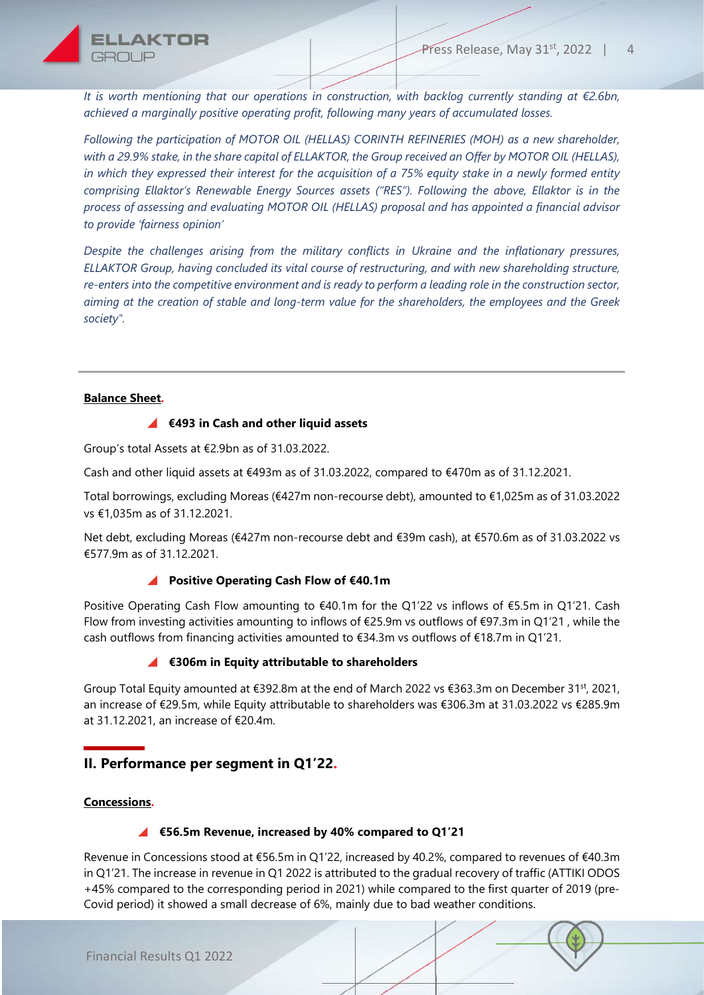It is worth mentioning that our operations in construction, with backlog currently standing at €2.6bn, achieved a marginally positive operating profit, following many years of accumulated losses.

Following the participation of MOTOR OIL (HELLAS) CORINTH REFINERIES (MOH) as a new shareholder, with a 29.9% stake, in the share capital of ELLAKTOR, the Group received an Offer by MOTOR OIL (HELLAS), in which they expressed their interest for the acquisition of a 75% equity stake in a newly formed entity comprising Ellaktor's Renewable Energy Sources assets ("RES"). Following the above, Ellaktor is in the process of assessing and evaluating MOTOR OIL (HELLAS) proposal and has appointed a financial advisor to provide 'fairness opinion'

Despite the challenges arising from the military conflicts in Ukraine and the inflationary pressures, ELLAKTOR Group, having concluded its vital course of restructuring, and with new shareholding structure, re-enters into the competitive environment and is ready to perform a leading role in the construction sector, aiming at the creation of stable and long-term value for the shareholders, the employees and the Greek society".

### Balance Sheet.

#### €493 in Cash and other liquid assets

Group's total Assets at €2.9bn as of 31.03.2022.

Cash and other liquid assets at €493m as of 31.03.2022, compared to €470m as of 31.12.2021.

Total borrowings, excluding Moreas (€427m non-recourse debt), amounted to €1,025m as of 31.03.2022 vs €1,035m as of 31.12.2021.

Net debt, excluding Moreas (€427m non-recourse debt and €39m cash), at €570.6m as of 31.03.2022 vs €577.9m as of 31.12.2021.

## ■ Positive Operating Cash Flow of €40.1m

Positive Operating Cash Flow amounting to €40.1m for the Q1'22 vs inflows of €5.5m in Q1'21. Cash Flow from investing activities amounting to inflows of €25.9m vs outflows of €97.3m in Q1'21 , while the cash outflows from financing activities amounted to  $\epsilon$ 34.3m vs outflows of  $\epsilon$ 18.7m in Q1'21.

## ■  $€306m$  in Equity attributable to shareholders

Group Total Equity amounted at €392.8m at the end of March 2022 vs €363.3m on December 31st, 2021, an increase of €29.5m, while Equity attributable to shareholders was €306.3m at 31.03.2022 vs €285.9m at 31.12.2021, an increase of €20.4m.

# ΙI. Performance per segment in Q1'22.

#### Concessions.

## €56.5m Revenue, increased by 40% compared to Q1'21

Revenue in Concessions stood at €56.5m in Q1'22, increased by 40.2%, compared to revenues of €40.3m in Q1'21. The increase in revenue in Q1 2022 is attributed to the gradual recovery of traffic (ATTIKI ODOS +45% compared to the corresponding period in 2021) while compared to the first quarter of 2019 (pre-Covid period) it showed a small decrease of 6%, mainly due to bad weather conditions.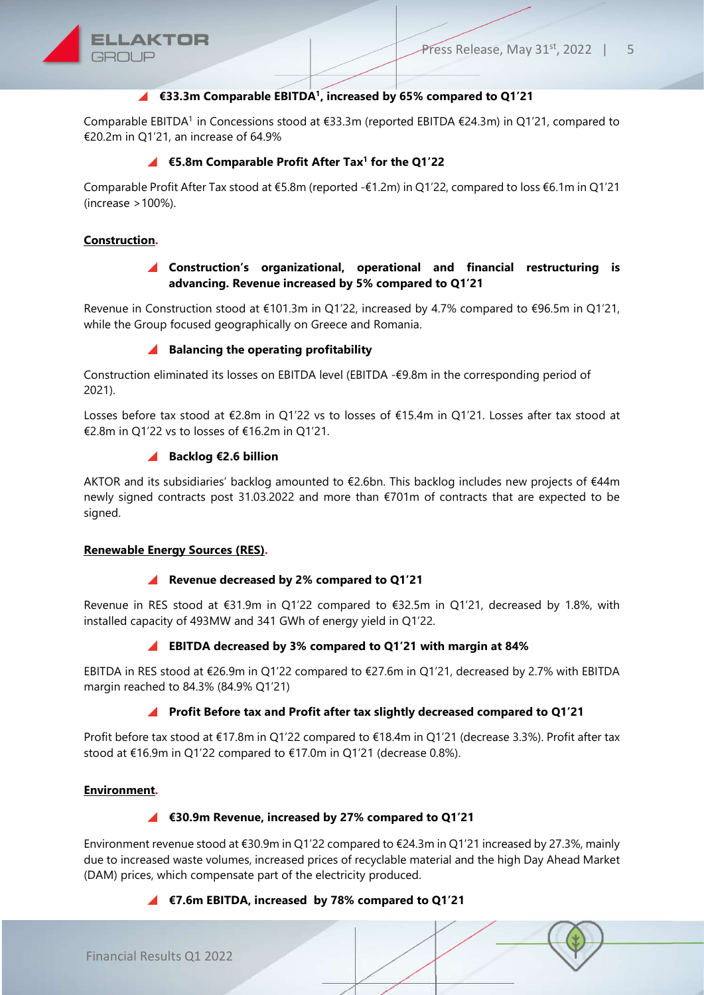

## €33.3m Comparable EBITDA<sup>1</sup>, increased by 65% compared to Q1'21

Comparable EBITDA<sup>1</sup> in Concessions stood at  $\epsilon$ 33.3m (reported EBITDA  $\epsilon$ 24.3m) in Q1'21, compared to €20.2m in Q1'21, an increase of 64.9%

#### €5.8m Comparable Profit After Tax<sup>1</sup> for the Q1'22

Comparable Profit After Tax stood at €5.8m (reported -€1.2m) in Q1'22, compared to loss €6.1m in Q1'21 (increase >100%).

### Construction.

### Construction's organizational, operational and financial restructuring is advancing. Revenue increased by 5% compared to Q1'21

Revenue in Construction stood at €101.3m in Q1'22, increased by 4.7% compared to €96.5m in Q1'21, while the Group focused geographically on Greece and Romania.

#### $\blacktriangle$  Balancing the operating profitability

Construction eliminated its losses on EBITDA level (EBITDA -€9.8m in the corresponding period of 2021).

Losses before tax stood at €2.8m in Q1'22 vs to losses of €15.4m in Q1'21. Losses after tax stood at €2.8m in Q1'22 vs to losses of €16.2m in Q1'21.

#### ■ Backlog €2.6 billion

AKTOR and its subsidiaries' backlog amounted to €2.6bn. This backlog includes new projects of €44m newly signed contracts post 31.03.2022 and more than €701m of contracts that are expected to be signed.

#### Renewable Energy Sources (RES).

#### ■ Revenue decreased by 2% compared to Q1'21

Revenue in RES stood at €31.9m in Q1'22 compared to €32.5m in Q1'21, decreased by 1.8%, with installed capacity of 493MW and 341 GWh of energy yield in Q1'22.

#### ■ EBITDA decreased by 3% compared to Q1'21 with margin at 84%

EBITDA in RES stood at €26.9m in Q1'22 compared to €27.6m in Q1'21, decreased by 2.7% with EBITDA margin reached to 84.3% (84.9% Q1'21)

#### **A** Profit Before tax and Profit after tax slightly decreased compared to Q1'21

Profit before tax stood at €17.8m in Q1'22 compared to €18.4m in Q1'21 (decrease 3.3%). Profit after tax stood at €16.9m in Q1'22 compared to €17.0m in Q1'21 (decrease 0.8%).

#### Environment.

#### ■ €30.9m Revenue, increased by 27% compared to Q1'21

Environment revenue stood at €30.9m in Q1'22 compared to €24.3m in Q1'21 increased by 27.3%, mainly due to increased waste volumes, increased prices of recyclable material and the high Day Ahead Market (DAM) prices, which compensate part of the electricity produced.

### ■ €7.6m EBITDA, increased by 78% compared to Q1'21